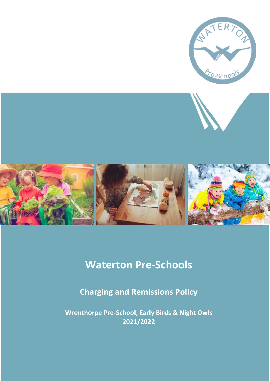

# **Waterton Pre-Schools**

**Charging and Remissions Policy**

**Wrenthorpe Pre-School, Early Birds & Night Owls 2021/2022**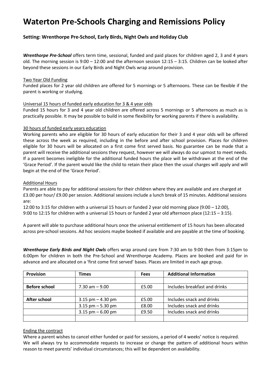# **Waterton Pre-Schools Charging and Remissions Policy**

### **Setting: Wrenthorpe Pre-School, Early Birds, Night Owls and Holiday Club**

*Wrenthorpe Pre-School* offers term time, sessional, funded and paid places for children aged 2, 3 and 4 years old. The morning session is 9:00 – 12:00 and the afternoon session 12:15 – 3:15. Children can be looked after beyond these sessions in our Early Birds and Night Owls wrap around provision.

#### Two Year Old Funding

Funded places for 2 year old children are offered for 5 mornings or 5 afternoons. These can be flexible if the parent is working or studying.

#### Universal 15 hours of funded early education for 3 & 4 year olds

Funded 15 hours for 3 and 4 year old children are offered across 5 mornings or 5 afternoons as much as is practically possible. It may be possible to build in some flexibility for working parents if there is availability.

#### 30 hours of funded early years education

Working parents who are eligible for 30 hours of early education for their 3 and 4 year olds will be offered these across the week as required, including in the before and after school provision. Places for children eligible for 30 hours will be allocated on a first come first served basis. No guarantee can be made that a parent will receive the additional sessions they request, however we will always do our upmost to meet needs. If a parent becomes ineligible for the additional funded hours the place will be withdrawn at the end of the 'Grace Period'. If the parent would like the child to retain their place then the usual charges will apply and will begin at the end of the 'Grace Period'.

#### Additional Hours

Parents are able to pay for additional sessions for their children where they are available and are charged at £3.00 per hour/ £9.00 per session. Additional sessions include a lunch break of 15 minutes. Additional sessions are:

12:00 to 3:15 for children with a universal 15 hours or funded 2 year old morning place (9:00 – 12:00), 9:00 to 12:15 for children with a universal 15 hours or funded 2 year old afternoon place (12:15 – 3:15).

A parent will able to purchase additional hours once the universal entitlement of 15 hours has been allocated across pre-school sessions. Ad hoc sessions maybe booked if available and are payable at the time of booking.

*Wrenthorpe Early Birds and Night Owls* offers wrap around care from 7:30 am to 9:00 then from 3:15pm to 6:00pm for children in both the Pre-School and Wrenthorpe Academy. Places are booked and paid for in advance and are allocated on a 'first come first served' bases. Places are limited in each age group.

| <b>Provision</b>     | <b>Times</b>         | <b>Fees</b> | <b>Additional Information</b> |
|----------------------|----------------------|-------------|-------------------------------|
|                      |                      |             |                               |
| <b>Before school</b> | $7.30$ am $-9.00$    | £5.00       | Includes breakfast and drinks |
|                      |                      |             |                               |
| After school         | 3.15 $pm - 4.30$ pm  | £5.00       | Includes snack and drinks     |
|                      | $3.15$ pm $-5.30$ pm | £8.00       | Includes snack and drinks     |
|                      | 3.15 $pm - 6.00$ pm  | £9.50       | Includes snack and drinks     |
|                      |                      |             |                               |

#### Ending the contract

Where a parent wishes to cancel either funded or paid for sessions, a period of 4 weeks' notice is required. We will always try to accommodate requests to increase or change the pattern of additional hours within reason to meet parents' individual circumstances; this will be dependent on availability.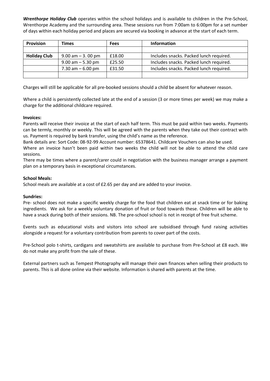*Wrenthorpe Holiday Club* operates within the school holidays and is available to children in the Pre-School, Wrenthorpe Academy and the surrounding area. These sessions run from 7:00am to 6:00pm for a set number of days within each holiday period and places are secured via booking in advance at the start of each term.

| <b>Provision</b>    | <b>Times</b>         | <b>Fees</b> | <b>Information</b>                      |
|---------------------|----------------------|-------------|-----------------------------------------|
|                     |                      |             |                                         |
| <b>Holiday Club</b> | $9.00$ am $-3.00$ pm | £18.00      | Includes snacks. Packed lunch required. |
|                     | $9.00$ am $-5.30$ pm | £25.50      | Includes snacks. Packed lunch required. |
|                     | 7.30 am $-6.00$ pm   | £31.50      | Includes snacks. Packed lunch required. |
|                     |                      |             |                                         |

Charges will still be applicable for all pre-booked sessions should a child be absent for whatever reason.

Where a child is persistently collected late at the end of a session (3 or more times per week) we may make a charge for the additional childcare required.

#### **Invoices:**

Parents will receive their invoice at the start of each half term. This must be paid within two weeks. Payments can be termly, monthly or weekly. This will be agreed with the parents when they take out their contract with us. Payment is required by bank transfer, using the child's name as the reference.

Bank details are: Sort Code: 08-92-99 Account number: 65378641. Childcare Vouchers can also be used.

Where an invoice hasn't been paid within two weeks the child will not be able to attend the child care sessions.

There may be times where a parent/carer could in negotiation with the business manager arrange a payment plan on a temporary basis in exceptional circumstances.

#### **School Meals:**

School meals are available at a cost of £2.65 per day and are added to your invoice.

#### **Sundries:**

Pre- school does not make a specific weekly charge for the food that children eat at snack time or for baking ingredients. We ask for a weekly voluntary donation of fruit or food towards these. Children will be able to have a snack during both of their sessions. NB. The pre-school school is not in receipt of free fruit scheme.

Events such as educational visits and visitors into school are subsidised through fund raising activities alongside a request for a voluntary contribution from parents to cover part of the costs.

Pre-School polo t-shirts, cardigans and sweatshirts are available to purchase from Pre-School at £8 each. We do not make any profit from the sale of these.

External partners such as Tempest Photography will manage their own finances when selling their products to parents. This is all done online via their website. Information is shared with parents at the time.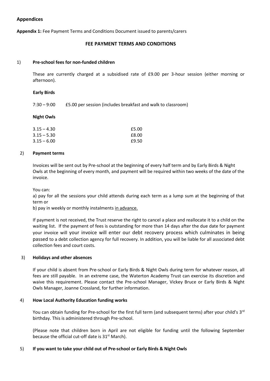#### **Appendices**

**Appendix 1:** Fee Payment Terms and Conditions Document issued to parents/carers

#### **FEE PAYMENT TERMS AND CONDITIONS**

#### 1) **Pre-school fees for non-funded children**

These are currently charged at a subsidised rate of £9.00 per 3-hour session (either morning or afternoon).

#### **Early Birds**

7:30 – 9:00 £5.00 per session (includes breakfast and walk to classroom)

#### **Night Owls**

| 3.15 – 4.30   | £5.00 |
|---------------|-------|
| 3.15 – 5.30   | £8.00 |
| $3.15 - 6.00$ | £9.50 |

#### 2) **Payment terms**

Invoices will be sent out by Pre-school at the beginning of every half term and by Early Birds & Night Owls at the beginning of every month, and payment will be required within two weeks of the date of the invoice.

You can:

a) pay for all the sessions your child attends during each term as a lump sum at the beginning of that term or

b) pay in weekly or monthly instalments in advance.

If payment is not received, the Trust reserve the right to cancel a place and reallocate it to a child on the waiting list. If the payment of fees is outstanding for more than 14 days after the due date for payment your invoice will your invoice will enter our debt recovery process which culminates in being passed to a debt collection agency for full recovery. In addition, you will be liable for all associated debt collection fees and court costs.

#### 3) **Holidays and other absences**

If your child is absent from Pre-school or Early Birds & Night Owls during term for whatever reason, all fees are still payable. In an extreme case, the Waterton Academy Trust can exercise its discretion and waive this requirement. Please contact the Pre-school Manager, Vickey Bruce or Early Birds & Night Owls Manager, Joanne Crossland, for further information.

#### 4) **How Local Authority Education funding works**

You can obtain funding for Pre-school for the first full term (and subsequent terms) after your child's 3<sup>rd</sup> birthday. This is administered through Pre-school.

(Please note that children born in April are not eligible for funding until the following September because the official cut-off date is 31<sup>st</sup> March).

#### 5) **If you want to take your child out of Pre-school or Early Birds & Night Owls**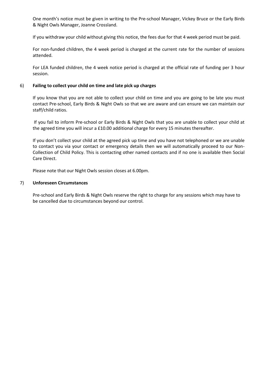One month's notice must be given in writing to the Pre-school Manager, Vickey Bruce or the Early Birds & Night Owls Manager, Joanne Crossland.

If you withdraw your child without giving this notice, the fees due for that 4 week period must be paid.

For non-funded children, the 4 week period is charged at the current rate for the number of sessions attended.

For LEA funded children, the 4 week notice period is charged at the official rate of funding per 3 hour session.

#### 6) **Failing to collect your child on time and late pick up charges**

If you know that you are not able to collect your child on time and you are going to be late you must contact Pre-school, Early Birds & Night Owls so that we are aware and can ensure we can maintain our staff/child ratios.

If you fail to inform Pre-school or Early Birds & Night Owls that you are unable to collect your child at the agreed time you will incur a £10.00 additional charge for every 15 minutes thereafter.

If you don't collect your child at the agreed pick up time and you have not telephoned or we are unable to contact you via your contact or emergency details then we will automatically proceed to our Non-Collection of Child Policy. This is contacting other named contacts and if no one is available then Social Care Direct.

Please note that our Night Owls session closes at 6.00pm.

#### 7) **Unforeseen Circumstances**

Pre-school and Early Birds & Night Owls reserve the right to charge for any sessions which may have to be cancelled due to circumstances beyond our control.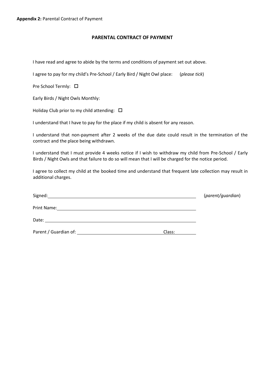#### **PARENTAL CONTRACT OF PAYMENT**

I have read and agree to abide by the terms and conditions of payment set out above.

I agree to pay for my child's Pre-School / Early Bird / Night Owl place: (*please tick*)

Pre School Termly: □

Early Birds / Night Owls Monthly:

Holiday Club prior to my child attending:  $\Box$ 

I understand that I have to pay for the place if my child is absent for any reason.

I understand that non-payment after 2 weeks of the due date could result in the termination of the contract and the place being withdrawn.

I understand that I must provide 4 weeks notice if I wish to withdraw my child from Pre-School / Early Birds / Night Owls and that failure to do so will mean that I will be charged for the notice period.

I agree to collect my child at the booked time and understand that frequent late collection may result in additional charges.

| Signed:<br><u> 1980 - John Stone, amerikansk politiker (* 1900)</u> |        | (parent/guardian) |
|---------------------------------------------------------------------|--------|-------------------|
|                                                                     |        |                   |
| Date:                                                               |        |                   |
| Parent / Guardian of:                                               | Class: |                   |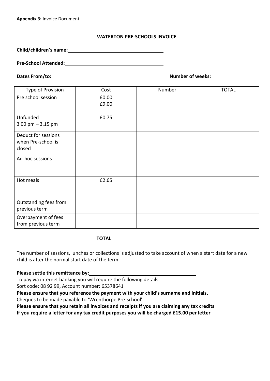#### **WATERTON PRE-SCHOOLS INVOICE**

**Child/children's name:**

### **Pre-School Attended:**

**Dates From/to: Number of weeks:**

| Type of Provision                                   | Cost           | Number | <b>TOTAL</b> |
|-----------------------------------------------------|----------------|--------|--------------|
| Pre school session                                  | £0.00<br>£9.00 |        |              |
| Unfunded<br>$300$ pm $-3.15$ pm                     | £0.75          |        |              |
| Deduct for sessions<br>when Pre-school is<br>closed |                |        |              |
| Ad-hoc sessions                                     |                |        |              |
| Hot meals                                           | £2.65          |        |              |
| Outstanding fees from<br>previous term              |                |        |              |
| Overpayment of fees<br>from previous term           |                |        |              |
|                                                     |                |        |              |

**TOTAL**

The number of sessions, lunches or collections is adjusted to take account of when a start date for a new child is after the normal start date of the term.

#### **Please settle this remittance by:**

To pay via internet banking you will require the following details:

Sort code: 08 92 99, Account number: 65378641

**Please ensure that you reference the payment with your child's surname and initials.**

Cheques to be made payable to 'Wrenthorpe Pre-school'

**Please ensure that you retain all invoices and receipts if you are claiming any tax credits If you require a letter for any tax credit purposes you will be charged £15.00 per letter**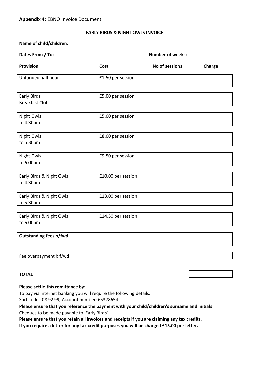#### **EARLY BIRDS & NIGHT OWLS INVOICE**

#### **Name of child/children:**

| Dates From / To:                            |                    | <b>Number of weeks:</b> |        |
|---------------------------------------------|--------------------|-------------------------|--------|
| <b>Provision</b>                            | Cost               | No of sessions          | Charge |
| Unfunded half hour                          | £1.50 per session  |                         |        |
| <b>Early Birds</b><br><b>Breakfast Club</b> | £5.00 per session  |                         |        |
| Night Owls<br>to 4.30pm                     | £5.00 per session  |                         |        |
| Night Owls<br>to 5.30pm                     | £8.00 per session  |                         |        |
| <b>Night Owls</b><br>to 6.00pm              | £9.50 per session  |                         |        |
| Early Birds & Night Owls<br>to 4.30pm       | £10.00 per session |                         |        |
| Early Birds & Night Owls<br>to 5.30pm       | £13.00 per session |                         |        |
| Early Birds & Night Owls<br>to 6.00pm       | £14.50 per session |                         |        |
| <b>Outstanding fees b/fwd</b>               |                    |                         |        |
| Fee overpayment b f/wd                      |                    |                         |        |

#### **TOTAL**

#### **Please settle this remittance by:**

To pay via internet banking you will require the following details:

Sort code : 08 92 99, Account number: 65378654

**Please ensure that you reference the payment with your child/children's surname and initials**

Cheques to be made payable to 'Early Birds'

**Please ensure that you retain all invoices and receipts if you are claiming any tax credits.** 

**If you require a letter for any tax credit purposes you will be charged £15.00 per letter.**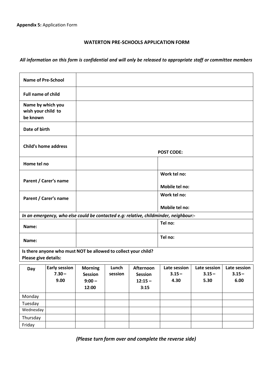#### **WATERTON PRE-SCHOOLS APPLICATION FORM**

# All information on this form is confidential and will only be released to appropriate staff or committee members

| <b>Name of Pre-School</b>                           |                                                                |                                                       |                  |                                                  |                                                                                      |                                  |                                  |
|-----------------------------------------------------|----------------------------------------------------------------|-------------------------------------------------------|------------------|--------------------------------------------------|--------------------------------------------------------------------------------------|----------------------------------|----------------------------------|
| <b>Full name of child</b>                           |                                                                |                                                       |                  |                                                  |                                                                                      |                                  |                                  |
| Name by which you<br>wish your child to<br>be known |                                                                |                                                       |                  |                                                  |                                                                                      |                                  |                                  |
| Date of birth                                       |                                                                |                                                       |                  |                                                  |                                                                                      |                                  |                                  |
| <b>Child's home address</b>                         |                                                                | <b>POST CODE:</b>                                     |                  |                                                  |                                                                                      |                                  |                                  |
| Home tel no                                         |                                                                |                                                       |                  |                                                  |                                                                                      |                                  |                                  |
|                                                     | Parent / Carer's name                                          |                                                       |                  | Work tel no:<br>Mobile tel no:                   |                                                                                      |                                  |                                  |
| Parent / Carer's name                               |                                                                |                                                       |                  | Work tel no:                                     |                                                                                      |                                  |                                  |
|                                                     |                                                                |                                                       |                  |                                                  | Mobile tel no:                                                                       |                                  |                                  |
|                                                     |                                                                |                                                       |                  |                                                  | In an emergency, who else could be contacted e.g: relative, childminder, neighbour:- |                                  |                                  |
| Name:                                               |                                                                |                                                       |                  |                                                  | Tel no:                                                                              |                                  |                                  |
| Name:                                               |                                                                |                                                       |                  |                                                  | Tel no:                                                                              |                                  |                                  |
|                                                     | Is there anyone who must NOT be allowed to collect your child? |                                                       |                  |                                                  |                                                                                      |                                  |                                  |
| Please give details:                                |                                                                |                                                       |                  |                                                  |                                                                                      |                                  |                                  |
| Day                                                 | <b>Early session</b><br>$7.30 -$<br>9.00                       | <b>Morning</b><br><b>Session</b><br>$9:00 -$<br>12:00 | Lunch<br>session | Afternoon<br><b>Session</b><br>$12:15 -$<br>3:15 | Late session<br>$3.15 -$<br>4.30                                                     | Late session<br>$3.15 -$<br>5.30 | Late session<br>$3.15 -$<br>6.00 |
| Monday                                              |                                                                |                                                       |                  |                                                  |                                                                                      |                                  |                                  |
| Tuesday                                             |                                                                |                                                       |                  |                                                  |                                                                                      |                                  |                                  |
| Wednesday                                           |                                                                |                                                       |                  |                                                  |                                                                                      |                                  |                                  |
| Thursday                                            |                                                                |                                                       |                  |                                                  |                                                                                      |                                  |                                  |
| Friday                                              |                                                                |                                                       |                  |                                                  |                                                                                      |                                  |                                  |

*(Please turn form over and complete the reverse side)*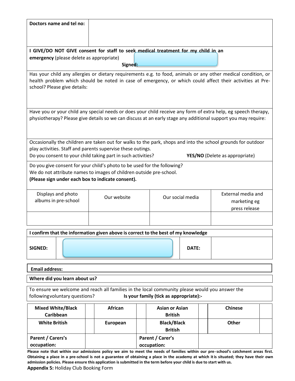| Doctors name and tel no:                                                                                       |                               |             |                       |       |                                       |  |  |
|----------------------------------------------------------------------------------------------------------------|-------------------------------|-------------|-----------------------|-------|---------------------------------------|--|--|
|                                                                                                                |                               |             |                       |       |                                       |  |  |
|                                                                                                                |                               |             |                       |       |                                       |  |  |
| I GIVE/DO NOT GIVE consent for staff to seek medical treatment for my child in an                              |                               |             |                       |       |                                       |  |  |
| emergency (please delete as appropriate)                                                                       |                               |             |                       |       |                                       |  |  |
|                                                                                                                | Signed:                       |             |                       |       |                                       |  |  |
| Has your child any allergies or dietary requirements e.g. to food, animals or any other medical condition, or  |                               |             |                       |       |                                       |  |  |
| health problem which should be noted in case of emergency, or which could affect their activities at Pre-      |                               |             |                       |       |                                       |  |  |
| school? Please give details:                                                                                   |                               |             |                       |       |                                       |  |  |
|                                                                                                                |                               |             |                       |       |                                       |  |  |
|                                                                                                                |                               |             |                       |       |                                       |  |  |
| Have you or your child any special needs or does your child receive any form of extra help, eg speech therapy, |                               |             |                       |       |                                       |  |  |
| physiotherapy? Please give details so we can discuss at an early stage any additional support you may require: |                               |             |                       |       |                                       |  |  |
|                                                                                                                |                               |             |                       |       |                                       |  |  |
|                                                                                                                |                               |             |                       |       |                                       |  |  |
| Occasionally the children are taken out for walks to the park, shops and into the school grounds for outdoor   |                               |             |                       |       |                                       |  |  |
| play activities. Staff and parents supervise these outings.                                                    |                               |             |                       |       |                                       |  |  |
| Do you consent to your child taking part in such activities?                                                   |                               |             |                       |       | <b>YES/NO</b> (Delete as appropriate) |  |  |
| Do you give consent for your child's photo to be used for the following?                                       |                               |             |                       |       |                                       |  |  |
| We do not attribute names to images of children outside pre-school.                                            |                               |             |                       |       |                                       |  |  |
| (Please sign under each box to indicate consent).                                                              |                               |             |                       |       |                                       |  |  |
|                                                                                                                |                               |             |                       |       | External media and                    |  |  |
| Displays and photo<br>albums in pre-school                                                                     | Our website                   |             | Our social media      |       |                                       |  |  |
|                                                                                                                |                               |             |                       |       | marketing eg<br>press release         |  |  |
|                                                                                                                |                               |             |                       |       |                                       |  |  |
|                                                                                                                |                               |             |                       |       |                                       |  |  |
| I confirm that the information given above is correct to the best of my knowledge                              |                               |             |                       |       |                                       |  |  |
|                                                                                                                |                               |             |                       |       |                                       |  |  |
| SIGNED:                                                                                                        |                               |             |                       | DATE: |                                       |  |  |
|                                                                                                                |                               |             |                       |       |                                       |  |  |
|                                                                                                                |                               |             |                       |       |                                       |  |  |
| <b>Email address:</b>                                                                                          |                               |             |                       |       |                                       |  |  |
|                                                                                                                | Where did you learn about us? |             |                       |       |                                       |  |  |
| To ensure we welcome and reach all families in the local community please would you answer the                 |                               |             |                       |       |                                       |  |  |
| Is your family (tick as appropriate):-<br>following voluntary questions?                                       |                               |             |                       |       |                                       |  |  |
| <b>Mixed White/Black</b>                                                                                       | <b>African</b>                |             | <b>Asian or Asian</b> |       | <b>Chinese</b>                        |  |  |
| Caribbean                                                                                                      |                               |             | <b>British</b>        |       |                                       |  |  |
| <b>White British</b>                                                                                           | European                      |             | <b>Black/Black</b>    |       | Other                                 |  |  |
|                                                                                                                |                               |             | <b>British</b>        |       |                                       |  |  |
| Parent / Carers's                                                                                              |                               |             | Parent / Carer's      |       |                                       |  |  |
| occupation:                                                                                                    |                               | occupation: |                       |       |                                       |  |  |

**Please note that within our admissions policy we aim to meet the needs of families within our pre-school's catchment areas first. Obtaining a place in a pre-school is not a guarantee of obtaining a place in the academy at which itis situated; they have their own admission policies. Please ensure this application issubmitted in the term before your child is due to start with us.**

**Appendix 5:** Holiday Club Booking Form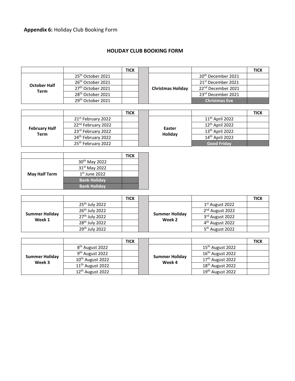# **Appendix 6:** Holiday Club Booking Form

## **HOLIDAY CLUB BOOKING FORM**

|                             |                               | <b>TICK</b> |                          |                                | <b>TICK</b> |
|-----------------------------|-------------------------------|-------------|--------------------------|--------------------------------|-------------|
| <b>October Half</b><br>Term | 25 <sup>th</sup> October 2021 |             |                          | 20 <sup>th</sup> December 2021 |             |
|                             | 26 <sup>th</sup> October 2021 |             |                          | 21 <sup>st</sup> December 2021 |             |
|                             | 27 <sup>th</sup> October 2021 |             | <b>Christmas Holiday</b> | 22 <sup>nd</sup> December 2021 |             |
|                             | 28 <sup>th</sup> October 2021 |             |                          | 23rd December 2021             |             |
|                             | 29 <sup>th</sup> October 2021 |             |                          | <b>Christmas Eve</b>           |             |

|                              |                                | <b>TICK</b> |  |                   |                             | <b>TICK</b> |
|------------------------------|--------------------------------|-------------|--|-------------------|-----------------------------|-------------|
| <b>February Half</b><br>Term | 21 <sup>st</sup> February 2022 |             |  | Easter<br>Holiday | $11th$ April 2022           |             |
|                              | 22 <sup>nd</sup> February 2022 |             |  |                   | 12 <sup>th</sup> April 2022 |             |
|                              | 23rd February 2022             |             |  |                   | 13 <sup>th</sup> April 2022 |             |
|                              | 24 <sup>th</sup> February 2022 |             |  |                   | 14th April 2022             |             |
|                              | 25 <sup>th</sup> February 2022 |             |  |                   | <b>Good Friday</b>          |             |

|                      |                           | <b>TICK</b> |  |
|----------------------|---------------------------|-------------|--|
|                      | 30 <sup>th</sup> May 2022 |             |  |
|                      | 31st May 2022             |             |  |
| <b>May Half Term</b> | $1st$ June 2022           |             |  |
|                      | <b>Bank Holiday</b>       |             |  |
|                      | <b>Bank Holiday</b>       |             |  |

|                                 |                            | <b>TICK</b> |  |                                 |                             | <b>TICK</b> |
|---------------------------------|----------------------------|-------------|--|---------------------------------|-----------------------------|-------------|
| <b>Summer Holiday</b><br>Week 1 | 25 <sup>th</sup> July 2022 |             |  | <b>Summer Holiday</b><br>Week 2 | $1st$ August 2022           |             |
|                                 | 26 <sup>th</sup> July 2022 |             |  |                                 | 2 <sup>nd</sup> August 2022 |             |
|                                 | 27 <sup>th</sup> July 2022 |             |  |                                 | 3rd August 2022             |             |
|                                 | 28 <sup>th</sup> July 2022 |             |  |                                 | 4 <sup>th</sup> August 2022 |             |
|                                 | 29 <sup>th</sup> July 2022 |             |  |                                 | 5 <sup>th</sup> August 2022 |             |

|                                 |                              | <b>TICK</b> |  |                                 |                              | <b>TICK</b> |
|---------------------------------|------------------------------|-------------|--|---------------------------------|------------------------------|-------------|
| <b>Summer Holiday</b><br>Week 3 | 8 <sup>th</sup> August 2022  |             |  |                                 | 15 <sup>th</sup> August 2022 |             |
|                                 | 9 <sup>th</sup> August 2022  |             |  |                                 | 16 <sup>th</sup> August 2022 |             |
|                                 | 10 <sup>th</sup> August 2022 |             |  | <b>Summer Holiday</b><br>Week 4 | 17 <sup>th</sup> August 2022 |             |
|                                 | 11 <sup>th</sup> August 2022 |             |  |                                 | 18 <sup>th</sup> August 2022 |             |
|                                 | 12 <sup>th</sup> August 2022 |             |  |                                 | 19 <sup>th</sup> August 2022 |             |